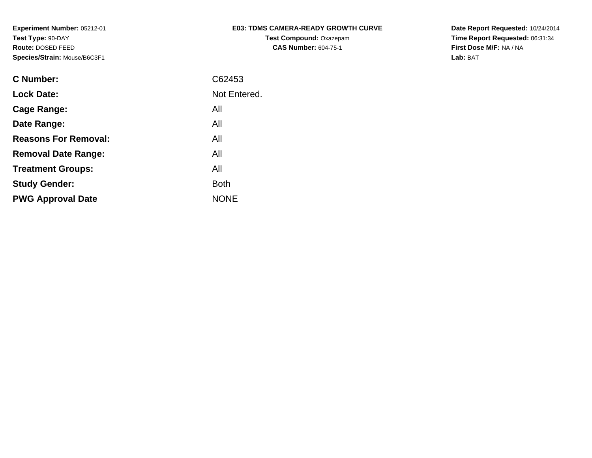| <b>E03: TDMS CAMERA-READY GROWTH CURVE</b> |
|--------------------------------------------|
| <b>Test Compound: Oxazepam</b>             |
| <b>CAS Number: 604-75-1</b>                |

**Date Report Requested:** 10/24/2014 **Time Report Requested:** 06:31:34**First Dose M/F:** NA / NA**Lab:** BAT

| C Number:                   | C62453       |
|-----------------------------|--------------|
| <b>Lock Date:</b>           | Not Entered. |
| Cage Range:                 | All          |
| Date Range:                 | All          |
| <b>Reasons For Removal:</b> | All          |
| <b>Removal Date Range:</b>  | All          |
| <b>Treatment Groups:</b>    | All          |
| <b>Study Gender:</b>        | <b>Both</b>  |
| <b>PWG Approval Date</b>    | <b>NONE</b>  |
|                             |              |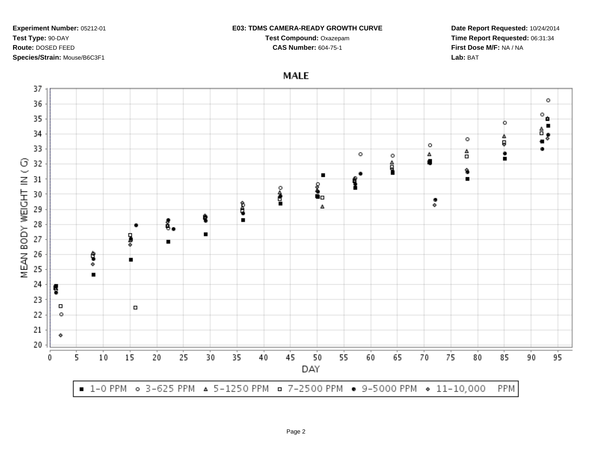#### **E03: TDMS CAMERA-READY GROWTH CURVE**

**Test Compound:** Oxazepam**CAS Number:** 604-75-1

**Date Report Requested:** 10/24/2014**Time Report Requested:** 06:31:34**First Dose M/F:** NA / NA**Lab:** BAT

**MALE** 

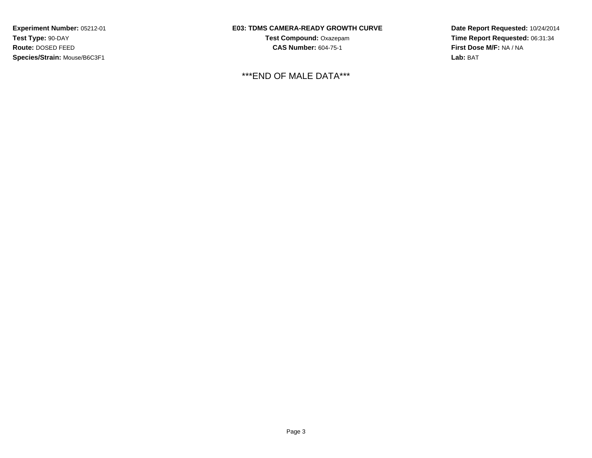## **E03: TDMS CAMERA-READY GROWTH CURVE**

**Test Compound:** Oxazepam**CAS Number:** 604-75-1

\*\*\*END OF MALE DATA\*\*\*

**Date Report Requested:** 10/24/2014**Time Report Requested:** 06:31:34**First Dose M/F:** NA / NA**Lab:** BAT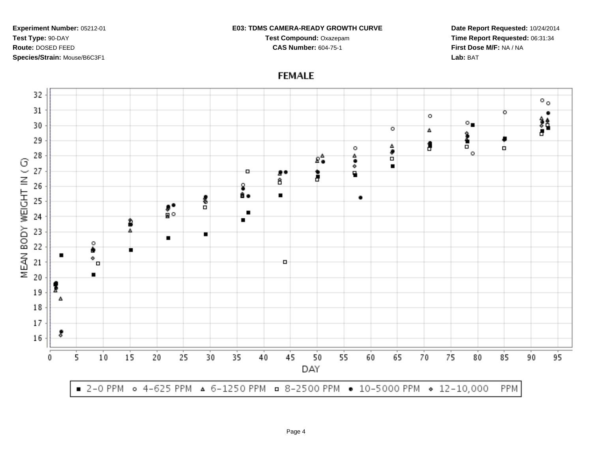#### **E03: TDMS CAMERA-READY GROWTH CURVE**

**Test Compound:** Oxazepam**CAS Number:** 604-75-1

**Date Report Requested:** 10/24/2014**Time Report Requested:** 06:31:34**First Dose M/F:** NA / NA**Lab:** BAT

32  $\circ$ . 31  $\circ$ ٠  $\circ$ 諸  $\circ$ . 30  $\circ$ Δ Î 29  $\frac{4}{9}$ 1 o o, 28  $\circ$  $\bullet\atop \circ$  $\hat{\mathbf{z}}^{\mathbf{A}}$ MEAN BODY WEIGHT IN (G)  $\blacksquare$ 27 o 80 B ā â 26 g. ã.  $\blacksquare$ ٠ 흥 25 រ៉ុះ  $\blacksquare$ 24  $\blacksquare$ 2 23 Δ  $\blacksquare$ о 22 ۰ .  $\blacksquare$ ۰ 21 o ō  $\blacksquare$ 20 19 Δ 18 17 8 16  $10$ 15 20 25 30 35 40 45 50 55 60 65 70 75 80 85 95 5 90 0 DAY ■ 2-0 PPM • 4-625 PPM ▲ 6-1250 PPM • 8-2500 PPM • 10-5000 PPM • 12-10,000 PPM

# **FEMALE**